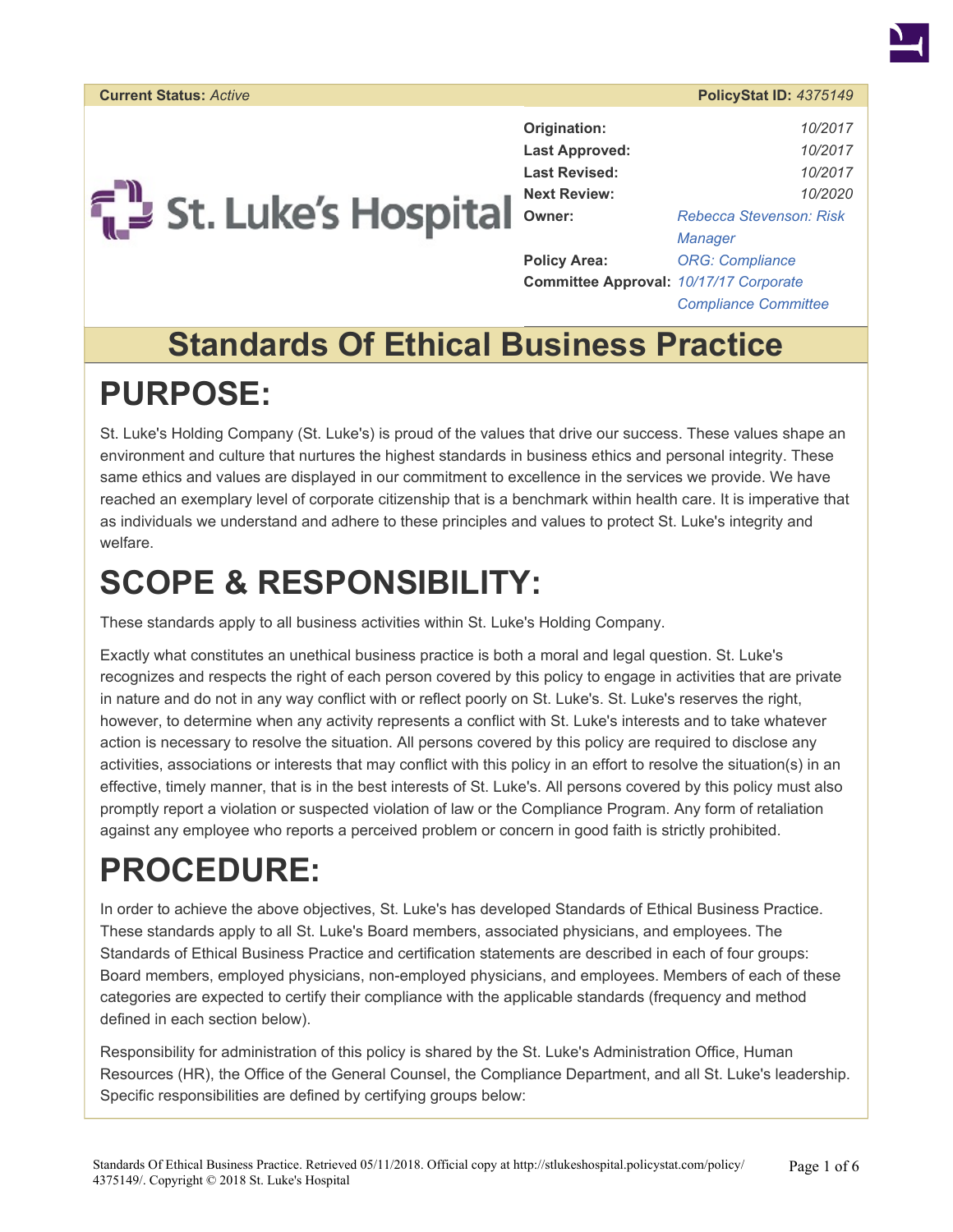

| Origination:                           | 10/2017                     |  |
|----------------------------------------|-----------------------------|--|
| <b>Last Approved:</b>                  | 10/2017                     |  |
| <b>Last Revised:</b>                   | 10/2017                     |  |
| <b>Next Review:</b>                    | 10/2020                     |  |
| Owner:                                 | Rebecca Stevenson: Risk     |  |
|                                        | Manager                     |  |
| <b>Policy Area:</b>                    | <b>ORG: Compliance</b>      |  |
| Committee Approval: 10/17/17 Corporate |                             |  |
|                                        | <b>Compliance Committee</b> |  |

# **Standards Of Ethical Business Practice PURPOSE:**

St. Luke's Holding Company (St. Luke's) is proud of the values that drive our success. These values shape an environment and culture that nurtures the highest standards in business ethics and personal integrity. These same ethics and values are displayed in our commitment to excellence in the services we provide. We have reached an exemplary level of corporate citizenship that is a benchmark within health care. It is imperative that as individuals we understand and adhere to these principles and values to protect St. Luke's integrity and welfare.

## **SCOPE & RESPONSIBILITY:**

These standards apply to all business activities within St. Luke's Holding Company.

Exactly what constitutes an unethical business practice is both a moral and legal question. St. Luke's recognizes and respects the right of each person covered by this policy to engage in activities that are private in nature and do not in any way conflict with or reflect poorly on St. Luke's. St. Luke's reserves the right, however, to determine when any activity represents a conflict with St. Luke's interests and to take whatever action is necessary to resolve the situation. All persons covered by this policy are required to disclose any activities, associations or interests that may conflict with this policy in an effort to resolve the situation(s) in an effective, timely manner, that is in the best interests of St. Luke's. All persons covered by this policy must also promptly report a violation or suspected violation of law or the Compliance Program. Any form of retaliation against any employee who reports a perceived problem or concern in good faith is strictly prohibited.

# **PROCEDURE:**

In order to achieve the above objectives, St. Luke's has developed Standards of Ethical Business Practice. These standards apply to all St. Luke's Board members, associated physicians, and employees. The Standards of Ethical Business Practice and certification statements are described in each of four groups: Board members, employed physicians, non-employed physicians, and employees. Members of each of these categories are expected to certify their compliance with the applicable standards (frequency and method defined in each section below).

Responsibility for administration of this policy is shared by the St. Luke's Administration Office, Human Resources (HR), the Office of the General Counsel, the Compliance Department, and all St. Luke's leadership. Specific responsibilities are defined by certifying groups below: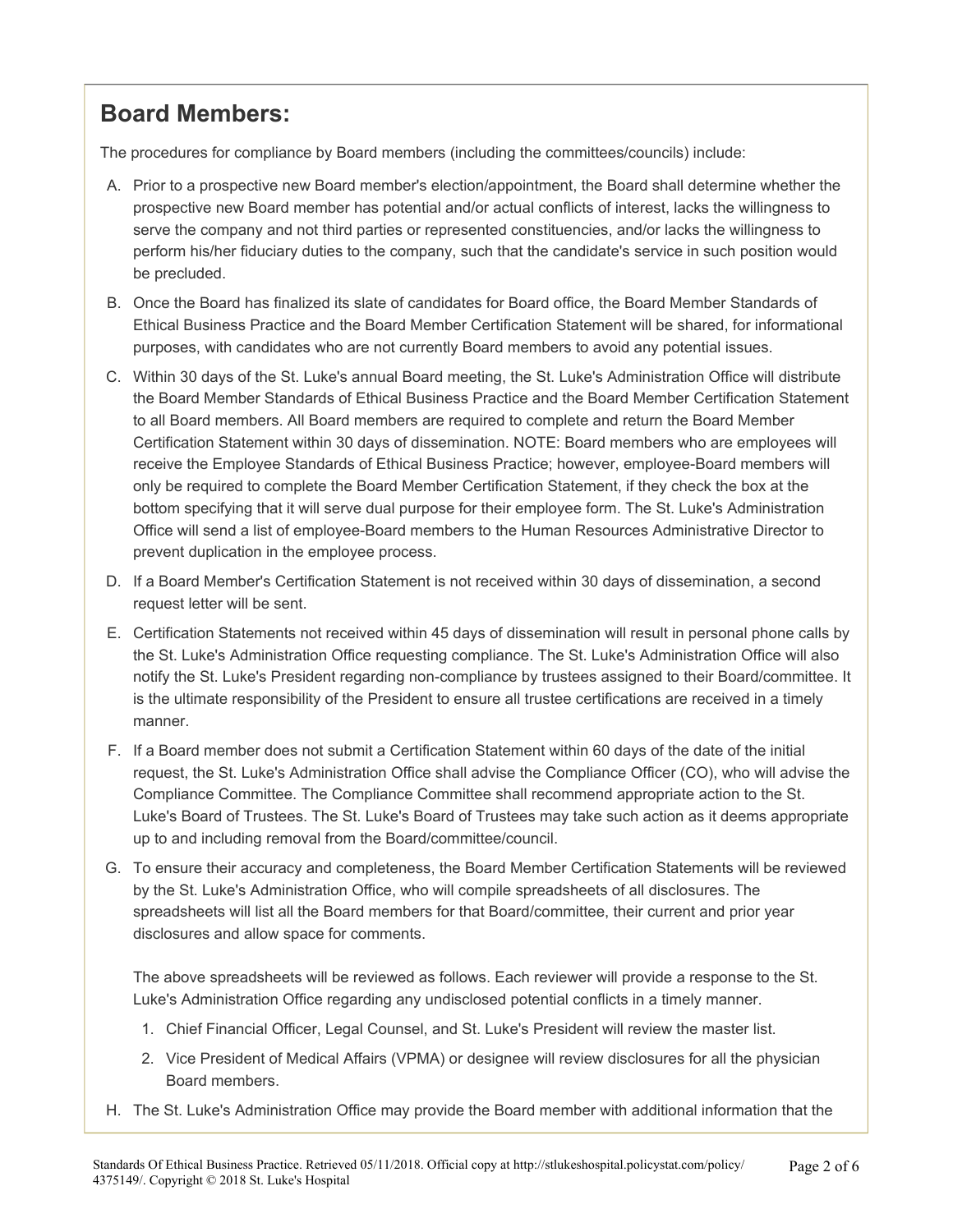### **Board Members:**

The procedures for compliance by Board members (including the committees/councils) include:

- A. Prior to a prospective new Board member's election/appointment, the Board shall determine whether the prospective new Board member has potential and/or actual conflicts of interest, lacks the willingness to serve the company and not third parties or represented constituencies, and/or lacks the willingness to perform his/her fiduciary duties to the company, such that the candidate's service in such position would be precluded.
- B. Once the Board has finalized its slate of candidates for Board office, the Board Member Standards of Ethical Business Practice and the Board Member Certification Statement will be shared, for informational purposes, with candidates who are not currently Board members to avoid any potential issues.
- C. Within 30 days of the St. Luke's annual Board meeting, the St. Luke's Administration Office will distribute the Board Member Standards of Ethical Business Practice and the Board Member Certification Statement to all Board members. All Board members are required to complete and return the Board Member Certification Statement within 30 days of dissemination. NOTE: Board members who are employees will receive the Employee Standards of Ethical Business Practice; however, employee-Board members will only be required to complete the Board Member Certification Statement, if they check the box at the bottom specifying that it will serve dual purpose for their employee form. The St. Luke's Administration Office will send a list of employee-Board members to the Human Resources Administrative Director to prevent duplication in the employee process.
- D. If a Board Member's Certification Statement is not received within 30 days of dissemination, a second request letter will be sent.
- E. Certification Statements not received within 45 days of dissemination will result in personal phone calls by the St. Luke's Administration Office requesting compliance. The St. Luke's Administration Office will also notify the St. Luke's President regarding non-compliance by trustees assigned to their Board/committee. It is the ultimate responsibility of the President to ensure all trustee certifications are received in a timely manner.
- F. If a Board member does not submit a Certification Statement within 60 days of the date of the initial request, the St. Luke's Administration Office shall advise the Compliance Officer (CO), who will advise the Compliance Committee. The Compliance Committee shall recommend appropriate action to the St. Luke's Board of Trustees. The St. Luke's Board of Trustees may take such action as it deems appropriate up to and including removal from the Board/committee/council.
- G. To ensure their accuracy and completeness, the Board Member Certification Statements will be reviewed by the St. Luke's Administration Office, who will compile spreadsheets of all disclosures. The spreadsheets will list all the Board members for that Board/committee, their current and prior year disclosures and allow space for comments.

The above spreadsheets will be reviewed as follows. Each reviewer will provide a response to the St. Luke's Administration Office regarding any undisclosed potential conflicts in a timely manner.

- 1. Chief Financial Officer, Legal Counsel, and St. Luke's President will review the master list.
- 2. Vice President of Medical Affairs (VPMA) or designee will review disclosures for all the physician Board members.
- H. The St. Luke's Administration Office may provide the Board member with additional information that the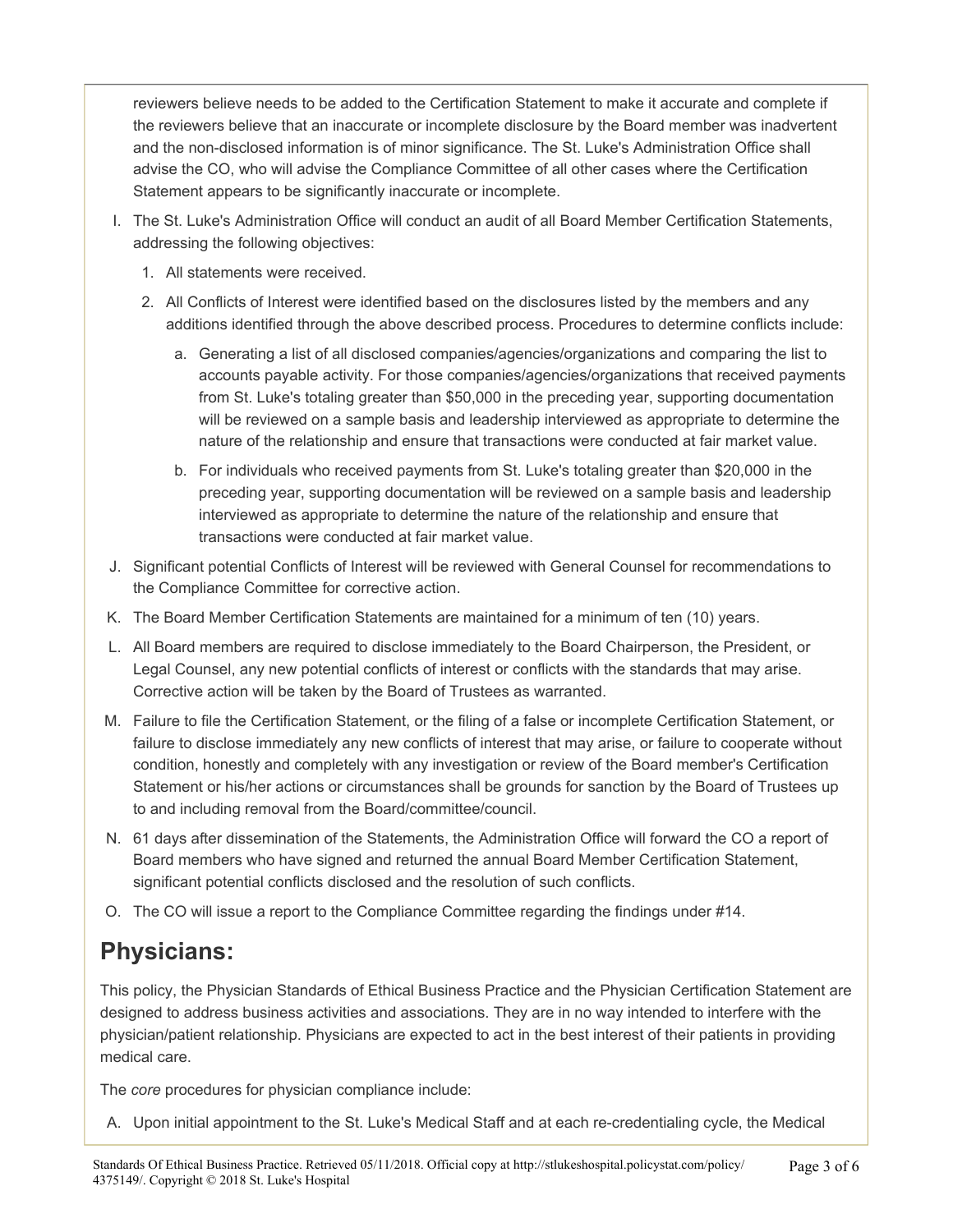reviewers believe needs to be added to the Certification Statement to make it accurate and complete if the reviewers believe that an inaccurate or incomplete disclosure by the Board member was inadvertent and the non-disclosed information is of minor significance. The St. Luke's Administration Office shall advise the CO, who will advise the Compliance Committee of all other cases where the Certification Statement appears to be significantly inaccurate or incomplete.

- I. The St. Luke's Administration Office will conduct an audit of all Board Member Certification Statements, addressing the following objectives:
	- 1. All statements were received.
	- 2. All Conflicts of Interest were identified based on the disclosures listed by the members and any additions identified through the above described process. Procedures to determine conflicts include:
		- a. Generating a list of all disclosed companies/agencies/organizations and comparing the list to accounts payable activity. For those companies/agencies/organizations that received payments from St. Luke's totaling greater than \$50,000 in the preceding year, supporting documentation will be reviewed on a sample basis and leadership interviewed as appropriate to determine the nature of the relationship and ensure that transactions were conducted at fair market value.
		- b. For individuals who received payments from St. Luke's totaling greater than \$20,000 in the preceding year, supporting documentation will be reviewed on a sample basis and leadership interviewed as appropriate to determine the nature of the relationship and ensure that transactions were conducted at fair market value.
- J. Significant potential Conflicts of Interest will be reviewed with General Counsel for recommendations to the Compliance Committee for corrective action.
- K. The Board Member Certification Statements are maintained for a minimum of ten (10) years.
- L. All Board members are required to disclose immediately to the Board Chairperson, the President, or Legal Counsel, any new potential conflicts of interest or conflicts with the standards that may arise. Corrective action will be taken by the Board of Trustees as warranted.
- M. Failure to file the Certification Statement, or the filing of a false or incomplete Certification Statement, or failure to disclose immediately any new conflicts of interest that may arise, or failure to cooperate without condition, honestly and completely with any investigation or review of the Board member's Certification Statement or his/her actions or circumstances shall be grounds for sanction by the Board of Trustees up to and including removal from the Board/committee/council.
- N. 61 days after dissemination of the Statements, the Administration Office will forward the CO a report of Board members who have signed and returned the annual Board Member Certification Statement, significant potential conflicts disclosed and the resolution of such conflicts.
- O. The CO will issue a report to the Compliance Committee regarding the findings under #14.

#### **Physicians:**

This policy, the Physician Standards of Ethical Business Practice and the Physician Certification Statement are designed to address business activities and associations. They are in no way intended to interfere with the physician/patient relationship. Physicians are expected to act in the best interest of their patients in providing medical care.

The *core* procedures for physician compliance include:

A. Upon initial appointment to the St. Luke's Medical Staff and at each re-credentialing cycle, the Medical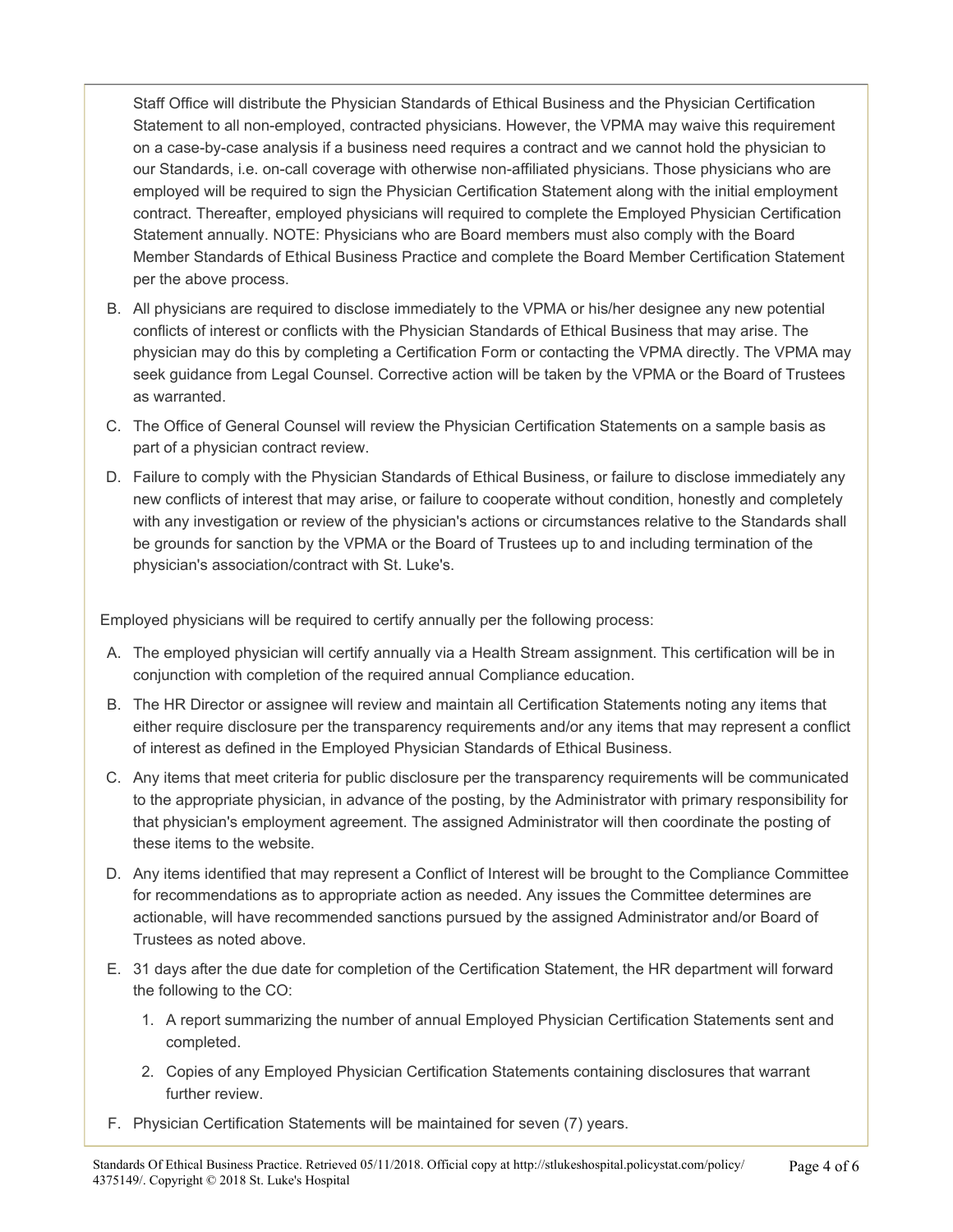Staff Office will distribute the Physician Standards of Ethical Business and the Physician Certification Statement to all non-employed, contracted physicians. However, the VPMA may waive this requirement on a case-by-case analysis if a business need requires a contract and we cannot hold the physician to our Standards, i.e. on-call coverage with otherwise non-affiliated physicians. Those physicians who are employed will be required to sign the Physician Certification Statement along with the initial employment contract. Thereafter, employed physicians will required to complete the Employed Physician Certification Statement annually. NOTE: Physicians who are Board members must also comply with the Board Member Standards of Ethical Business Practice and complete the Board Member Certification Statement per the above process.

- B. All physicians are required to disclose immediately to the VPMA or his/her designee any new potential conflicts of interest or conflicts with the Physician Standards of Ethical Business that may arise. The physician may do this by completing a Certification Form or contacting the VPMA directly. The VPMA may seek guidance from Legal Counsel. Corrective action will be taken by the VPMA or the Board of Trustees as warranted.
- C. The Office of General Counsel will review the Physician Certification Statements on a sample basis as part of a physician contract review.
- D. Failure to comply with the Physician Standards of Ethical Business, or failure to disclose immediately any new conflicts of interest that may arise, or failure to cooperate without condition, honestly and completely with any investigation or review of the physician's actions or circumstances relative to the Standards shall be grounds for sanction by the VPMA or the Board of Trustees up to and including termination of the physician's association/contract with St. Luke's.

Employed physicians will be required to certify annually per the following process:

- A. The employed physician will certify annually via a Health Stream assignment. This certification will be in conjunction with completion of the required annual Compliance education.
- B. The HR Director or assignee will review and maintain all Certification Statements noting any items that either require disclosure per the transparency requirements and/or any items that may represent a conflict of interest as defined in the Employed Physician Standards of Ethical Business.
- C. Any items that meet criteria for public disclosure per the transparency requirements will be communicated to the appropriate physician, in advance of the posting, by the Administrator with primary responsibility for that physician's employment agreement. The assigned Administrator will then coordinate the posting of these items to the website.
- D. Any items identified that may represent a Conflict of Interest will be brought to the Compliance Committee for recommendations as to appropriate action as needed. Any issues the Committee determines are actionable, will have recommended sanctions pursued by the assigned Administrator and/or Board of Trustees as noted above.
- E. 31 days after the due date for completion of the Certification Statement, the HR department will forward the following to the CO:
	- 1. A report summarizing the number of annual Employed Physician Certification Statements sent and completed.
	- 2. Copies of any Employed Physician Certification Statements containing disclosures that warrant further review.
- F. Physician Certification Statements will be maintained for seven (7) years.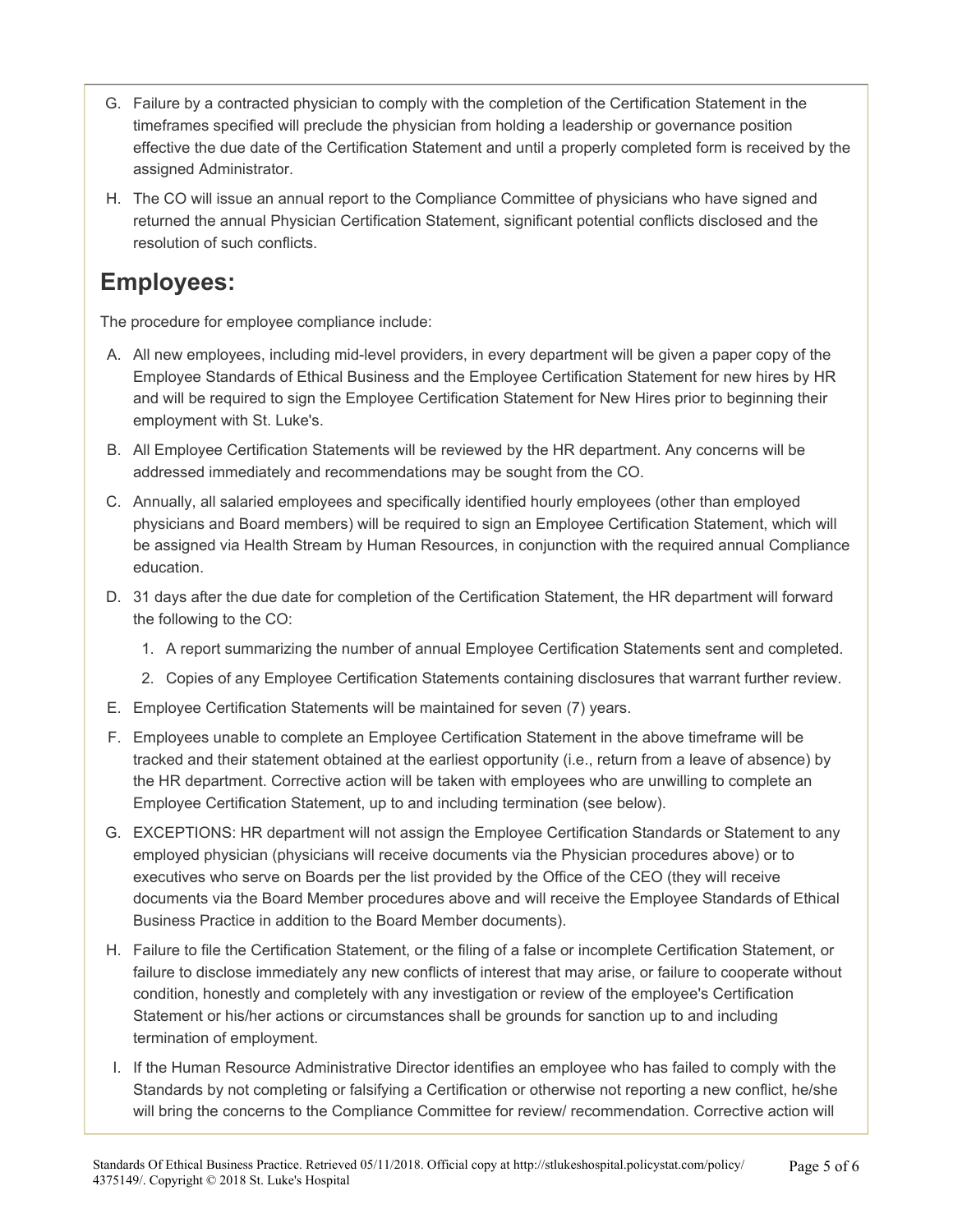- G. Failure by a contracted physician to comply with the completion of the Certification Statement in the timeframes specified will preclude the physician from holding a leadership or governance position effective the due date of the Certification Statement and until a properly completed form is received by the assigned Administrator.
- H. The CO will issue an annual report to the Compliance Committee of physicians who have signed and returned the annual Physician Certification Statement, significant potential conflicts disclosed and the resolution of such conflicts.

#### **Employees:**

The procedure for employee compliance include:

- A. All new employees, including mid-level providers, in every department will be given a paper copy of the Employee Standards of Ethical Business and the Employee Certification Statement for new hires by HR and will be required to sign the Employee Certification Statement for New Hires prior to beginning their employment with St. Luke's.
- B. All Employee Certification Statements will be reviewed by the HR department. Any concerns will be addressed immediately and recommendations may be sought from the CO.
- C. Annually, all salaried employees and specifically identified hourly employees (other than employed physicians and Board members) will be required to sign an Employee Certification Statement, which will be assigned via Health Stream by Human Resources, in conjunction with the required annual Compliance education.
- D. 31 days after the due date for completion of the Certification Statement, the HR department will forward the following to the CO:
	- 1. A report summarizing the number of annual Employee Certification Statements sent and completed.
	- 2. Copies of any Employee Certification Statements containing disclosures that warrant further review.
- E. Employee Certification Statements will be maintained for seven (7) years.
- F. Employees unable to complete an Employee Certification Statement in the above timeframe will be tracked and their statement obtained at the earliest opportunity (i.e., return from a leave of absence) by the HR department. Corrective action will be taken with employees who are unwilling to complete an Employee Certification Statement, up to and including termination (see below).
- G. EXCEPTIONS: HR department will not assign the Employee Certification Standards or Statement to any employed physician (physicians will receive documents via the Physician procedures above) or to executives who serve on Boards per the list provided by the Office of the CEO (they will receive documents via the Board Member procedures above and will receive the Employee Standards of Ethical Business Practice in addition to the Board Member documents).
- H. Failure to file the Certification Statement, or the filing of a false or incomplete Certification Statement, or failure to disclose immediately any new conflicts of interest that may arise, or failure to cooperate without condition, honestly and completely with any investigation or review of the employee's Certification Statement or his/her actions or circumstances shall be grounds for sanction up to and including termination of employment.
- I. If the Human Resource Administrative Director identifies an employee who has failed to comply with the Standards by not completing or falsifying a Certification or otherwise not reporting a new conflict, he/she will bring the concerns to the Compliance Committee for review/ recommendation. Corrective action will